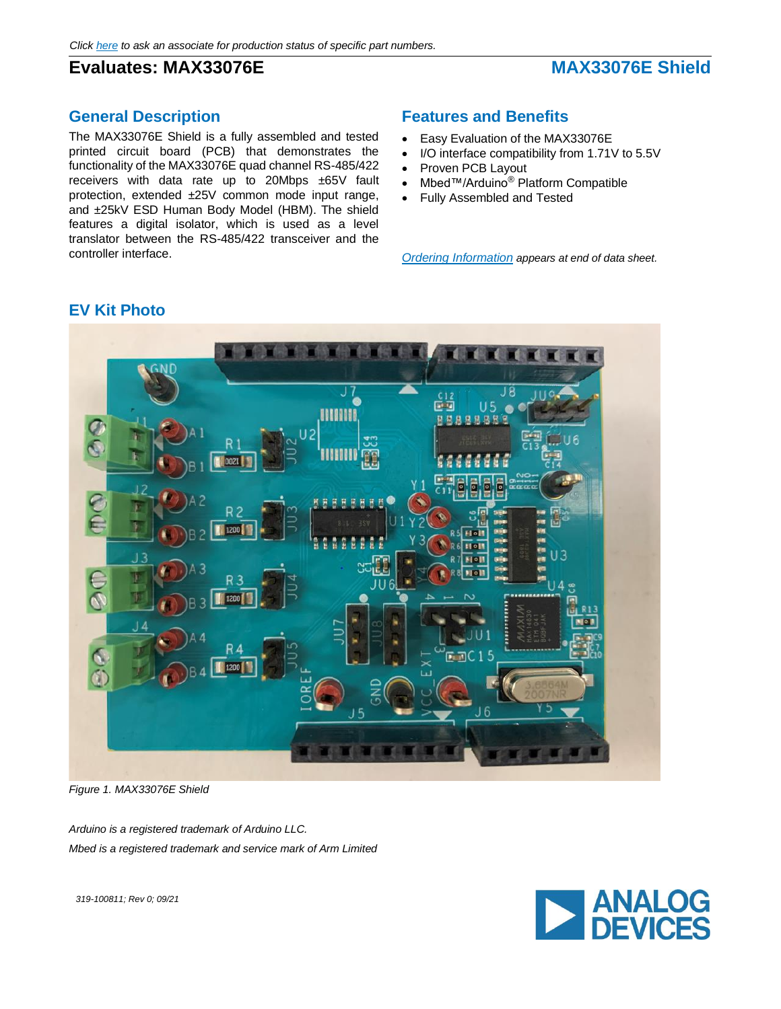# **Evaluates: MAX33076E** MAX33076E Shield

## **General Description**

The MAX33076E Shield is a fully assembled and tested printed circuit board (PCB) that demonstrates the functionality of the MAX33076E quad channel RS-485/422 receivers with data rate up to 20Mbps ±65V fault protection, extended ±25V common mode input range, and ±25kV ESD Human Body Model (HBM). The shield features a digital isolator, which is used as a level translator between the RS-485/422 transceiver and the controller interface.

## **Features and Benefits**

- Easy Evaluation of the MAX33076E
- I/O interface compatibility from 1.71V to 5.5V
- Proven PCB Layout
- Mbed™/Arduino® Platform Compatible
- Fully Assembled and Tested

*Ordering Information appears at end of data sheet.*



## **EV Kit Photo**

*Figure 1. MAX33076E Shield*

*Arduino is a registered trademark of Arduino LLC. Mbed is a registered trademark and service mark of Arm Limited*



*319-100811; Rev 0; 09/21*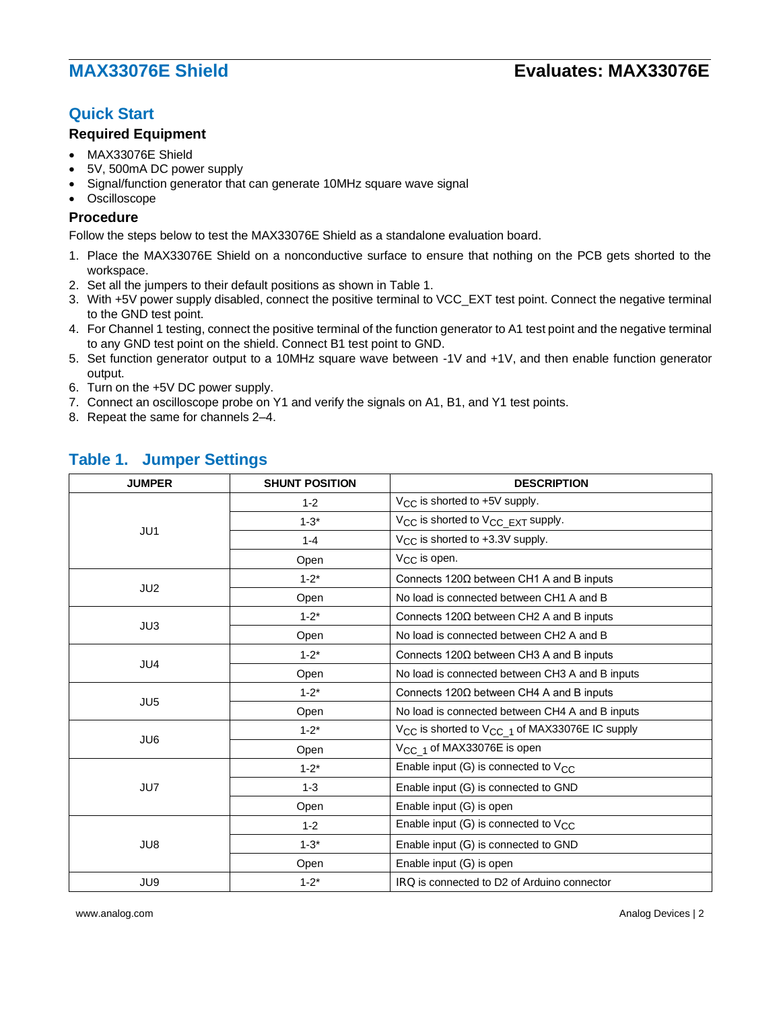# **Quick Start**

### **Required Equipment**

- MAX33076E Shield
- 5V, 500mA DC power supply
- Signal/function generator that can generate 10MHz square wave signal
- **Oscilloscope**

### **Procedure**

Follow the steps below to test the MAX33076E Shield as a standalone evaluation board.

- 1. Place the MAX33076E Shield on a nonconductive surface to ensure that nothing on the PCB gets shorted to the workspace.
- 2. Set all the jumpers to their default positions as shown in Table 1.
- 3. With +5V power supply disabled, connect the positive terminal to VCC\_EXT test point. Connect the negative terminal to the GND test point.
- 4. For Channel 1 testing, connect the positive terminal of the function generator to A1 test point and the negative terminal to any GND test point on the shield. Connect B1 test point to GND.
- 5. Set function generator output to a 10MHz square wave between -1V and +1V, and then enable function generator output.
- 6. Turn on the +5V DC power supply.
- 7. Connect an oscilloscope probe on Y1 and verify the signals on A1, B1, and Y1 test points.
- 8. Repeat the same for channels 2–4.

| <b>JUMPER</b>   | <b>SHUNT POSITION</b>                                                                                                                                                                                                  | <b>DESCRIPTION</b>                                                     |
|-----------------|------------------------------------------------------------------------------------------------------------------------------------------------------------------------------------------------------------------------|------------------------------------------------------------------------|
|                 | $1 - 2$                                                                                                                                                                                                                | $V_{\rm CC}$ is shorted to +5V supply.                                 |
|                 | $1 - 3^*$                                                                                                                                                                                                              | V <sub>CC</sub> is shorted to V <sub>CC</sub> EXT supply.              |
| JU1             | $1 - 4$                                                                                                                                                                                                                | V <sub>CC</sub> is shorted to +3.3V supply.                            |
|                 | Open                                                                                                                                                                                                                   | $V_{C}$ is open.                                                       |
|                 | $1 - 2^*$                                                                                                                                                                                                              | Connects $120\Omega$ between CH1 A and B inputs                        |
| JU2             | Open<br>$1 - 2^*$<br>Open<br>$1 - 2^*$<br>Open<br>$1 - 2^*$<br>Open<br>$1 - 2^*$<br>V <sub>CC 1</sub> of MAX33076E is open<br>Open<br>$1 - 2^*$<br>$1 - 3$<br>Open<br>Enable input (G) is open<br>$1 - 2$<br>$1 - 3^*$ | No load is connected between CH1 A and B                               |
|                 |                                                                                                                                                                                                                        | Connects $120\Omega$ between CH2 A and B inputs                        |
| JU3             |                                                                                                                                                                                                                        | No load is connected between CH2 A and B                               |
| JU4             |                                                                                                                                                                                                                        | Connects $120\Omega$ between CH3 A and B inputs                        |
|                 |                                                                                                                                                                                                                        | No load is connected between CH3 A and B inputs                        |
|                 |                                                                                                                                                                                                                        | Connects $120\Omega$ between CH4 A and B inputs                        |
| JU <sub>5</sub> |                                                                                                                                                                                                                        | No load is connected between CH4 A and B inputs                        |
|                 |                                                                                                                                                                                                                        | V <sub>CC</sub> is shorted to V <sub>CC</sub> 1 of MAX33076E IC supply |
| JU6             |                                                                                                                                                                                                                        |                                                                        |
|                 |                                                                                                                                                                                                                        | Enable input (G) is connected to $V_{CC}$                              |
| JU7             |                                                                                                                                                                                                                        | Enable input (G) is connected to GND                                   |
|                 |                                                                                                                                                                                                                        |                                                                        |
|                 |                                                                                                                                                                                                                        | Enable input $(G)$ is connected to $V_{CC}$                            |
| JU8             |                                                                                                                                                                                                                        | Enable input (G) is connected to GND                                   |
|                 | Open                                                                                                                                                                                                                   | Enable input (G) is open                                               |
| JU9             | $1 - 2^*$                                                                                                                                                                                                              | IRQ is connected to D2 of Arduino connector                            |

## **Table 1. Jumper Settings**

www.analog.com **Analog Devices | 2** and 2011 12:00 and 2012 12:00 and 2012 12:00 and 2012 12:00 and 2012 12:00 and 2012 12:00 and 2012 12:00 and 2012 12:00 and 2012 12:00 and 2012 12:00 and 2012 12:00 and 2012 12:00 and 20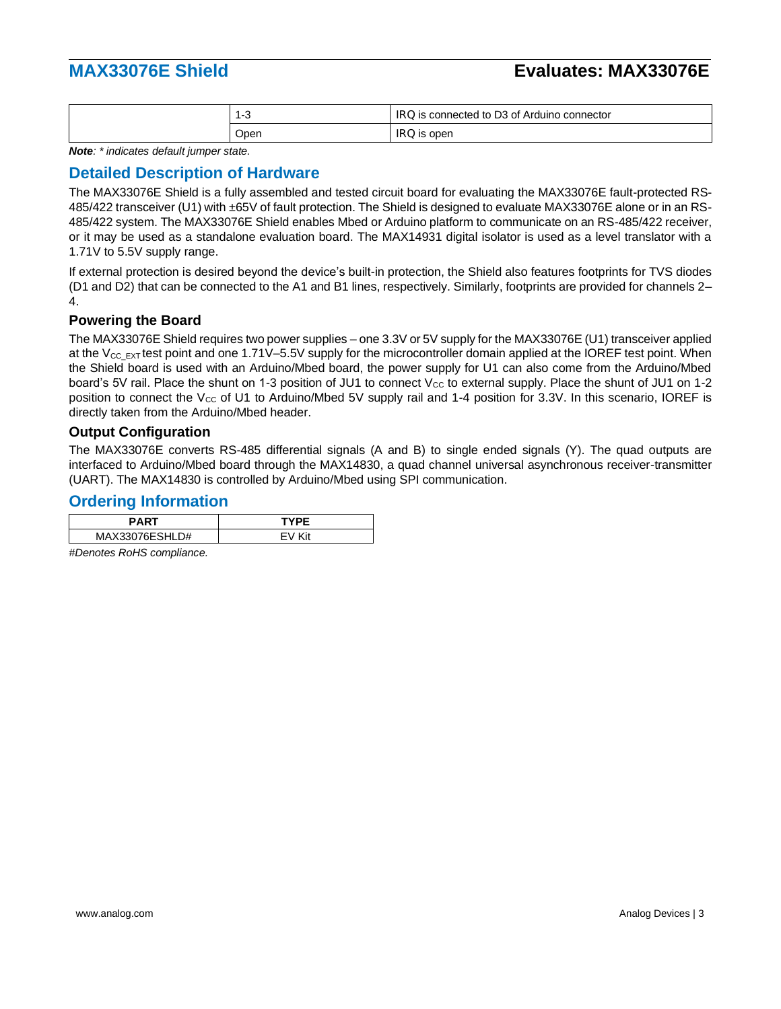| -0   | is connected to D3 of Arduino connector<br>IKU. |
|------|-------------------------------------------------|
| Open | open<br>IS<br>iku                               |

*Note: \* indicates default jumper state.*

## **Detailed Description of Hardware**

The MAX33076E Shield is a fully assembled and tested circuit board for evaluating the MAX33076E fault-protected RS-485/422 transceiver (U1) with ±65V of fault protection. The Shield is designed to evaluate MAX33076E alone or in an RS-485/422 system. The MAX33076E Shield enables Mbed or Arduino platform to communicate on an RS-485/422 receiver, or it may be used as a standalone evaluation board. The MAX14931 digital isolator is used as a level translator with a 1.71V to 5.5V supply range.

If external protection is desired beyond the device's built-in protection, the Shield also features footprints for TVS diodes (D1 and D2) that can be connected to the A1 and B1 lines, respectively. Similarly, footprints are provided for channels 2– 4.

### **Powering the Board**

The MAX33076E Shield requires two power supplies – one 3.3V or 5V supply for the MAX33076E (U1) transceiver applied at the  $V_{CC-EXT}$  test point and one 1.71V–5.5V supply for the microcontroller domain applied at the IOREF test point. When the Shield board is used with an Arduino/Mbed board, the power supply for U1 can also come from the Arduino/Mbed board's 5V rail. Place the shunt on 1-3 position of JU1 to connect  $V_{\text{cc}}$  to external supply. Place the shunt of JU1 on 1-2 position to connect the V<sub>cc</sub> of U1 to Arduino/Mbed 5V supply rail and 1-4 position for 3.3V. In this scenario, IOREF is directly taken from the Arduino/Mbed header.

### **Output Configuration**

The MAX33076E converts RS-485 differential signals (A and B) to single ended signals (Y). The quad outputs are interfaced to Arduino/Mbed board through the MAX14830, a quad channel universal asynchronous receiver-transmitter (UART). The MAX14830 is controlled by Arduino/Mbed using SPI communication.

### **Ordering Information**

| <b>PART</b>    | TYPF  |
|----------------|-------|
| MAX33076ESHLD# | ∕'i t |

*#Denotes RoHS compliance.*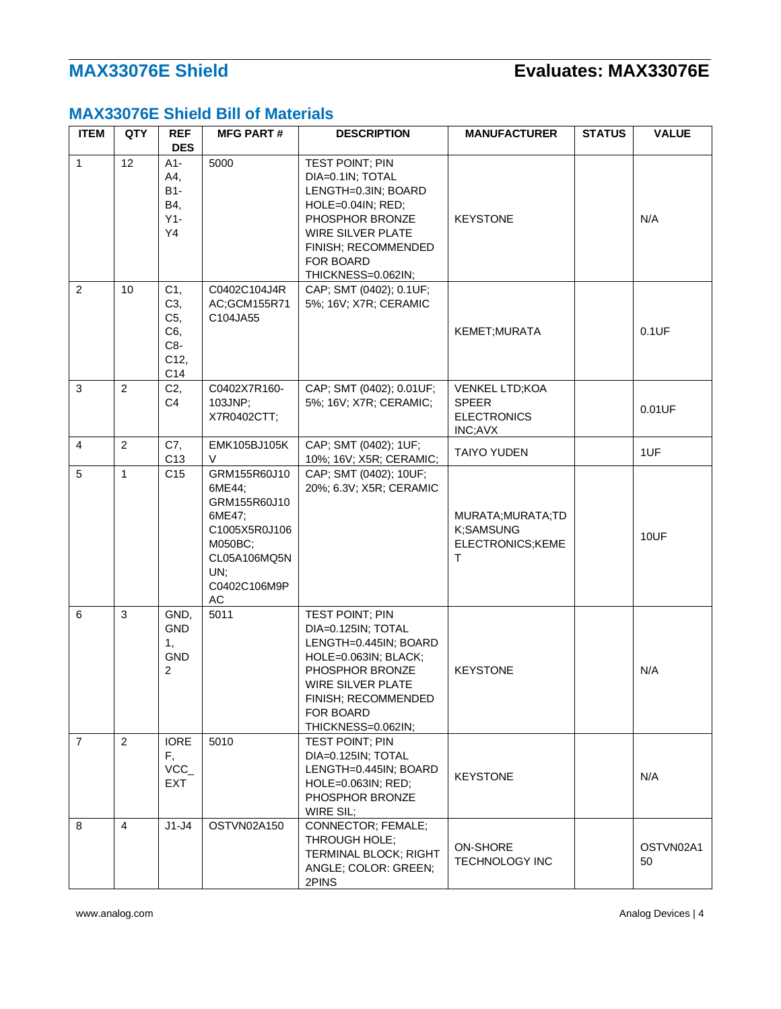# **MAX33076E Shield Bill of Materials**

| <b>ITEM</b>    | QTY            | <b>REF</b><br><b>DES</b>                          | <b>MFG PART#</b>                                                                                                                     | <b>DESCRIPTION</b>                                                                                                                                                                                     | <b>MANUFACTURER</b>                                                    | <b>STATUS</b> | <b>VALUE</b>    |
|----------------|----------------|---------------------------------------------------|--------------------------------------------------------------------------------------------------------------------------------------|--------------------------------------------------------------------------------------------------------------------------------------------------------------------------------------------------------|------------------------------------------------------------------------|---------------|-----------------|
| $\mathbf{1}$   | 12             | $A1-$<br>A4,<br><b>B1-</b><br>B4,<br>$Y1-$<br>Y4  | 5000                                                                                                                                 | TEST POINT; PIN<br>DIA=0.1IN; TOTAL<br>LENGTH=0.3IN; BOARD<br>HOLE=0.04IN; RED;<br>PHOSPHOR BRONZE<br><b>WIRE SILVER PLATE</b><br>FINISH; RECOMMENDED<br>FOR BOARD<br>THICKNESS=0.062IN;               | <b>KEYSTONE</b>                                                        |               | N/A             |
| 2              | 10             | C1,<br>C3,<br>C5,<br>C6,<br>C8-<br>C12,<br>C14    | C0402C104J4R<br>AC;GCM155R71<br>C104JA55                                                                                             | CAP; SMT (0402); 0.1UF;<br>5%; 16V; X7R; CERAMIC                                                                                                                                                       | KEMET; MURATA                                                          |               | 0.1UF           |
| 3              | $\overline{2}$ | C2,<br>C4                                         | C0402X7R160-<br>103JNP;<br>X7R0402CTT;                                                                                               | CAP; SMT (0402); 0.01UF;<br>5%; 16V; X7R; CERAMIC;                                                                                                                                                     | <b>VENKEL LTD;KOA</b><br><b>SPEER</b><br><b>ELECTRONICS</b><br>INC;AVX |               | 0.01UF          |
| $\overline{4}$ | $\overline{c}$ | C7,<br>C <sub>13</sub>                            | EMK105BJ105K<br>V                                                                                                                    | CAP; SMT (0402); 1UF;<br>10%; 16V; X5R; CERAMIC;                                                                                                                                                       | <b>TAIYO YUDEN</b>                                                     |               | 1UF             |
| 5              | $\mathbf{1}$   | C <sub>15</sub>                                   | GRM155R60J10<br>6ME44:<br>GRM155R60J10<br>6ME47;<br>C1005X5R0J106<br>M050BC;<br>CL05A106MQ5N<br>UN;<br>C0402C106M9P<br>$\mathsf{AC}$ | CAP; SMT (0402); 10UF;<br>20%; 6.3V; X5R; CERAMIC                                                                                                                                                      | MURATA; MURATA; TD<br>K:SAMSUNG<br>ELECTRONICS;KEME<br>т               |               | 10UF            |
| 6              | 3              | GND,<br><b>GND</b><br>1,<br>GND<br>$\overline{c}$ | 5011                                                                                                                                 | <b>TEST POINT; PIN</b><br>DIA=0.125IN; TOTAL<br>LENGTH=0.445IN; BOARD<br>HOLE=0.063IN; BLACK;<br>PHOSPHOR BRONZE<br><b>WIRE SILVER PLATE</b><br>FINISH; RECOMMENDED<br>FOR BOARD<br>THICKNESS=0.062IN; | <b>KEYSTONE</b>                                                        |               | N/A             |
| $\overline{7}$ | $\overline{2}$ | <b>IORE</b><br>F,<br>VCC_<br><b>EXT</b>           | 5010                                                                                                                                 | TEST POINT; PIN<br>DIA=0.125IN; TOTAL<br>LENGTH=0.445IN; BOARD<br>HOLE=0.063IN; RED;<br>PHOSPHOR BRONZE<br>WIRE SIL;                                                                                   | <b>KEYSTONE</b>                                                        |               | N/A             |
| 8              | $\overline{4}$ | $J1-J4$                                           | OSTVN02A150                                                                                                                          | <b>CONNECTOR; FEMALE;</b><br>THROUGH HOLE;<br>TERMINAL BLOCK; RIGHT<br>ANGLE; COLOR: GREEN;<br>2PINS                                                                                                   | <b>ON-SHORE</b><br><b>TECHNOLOGY INC</b>                               |               | OSTVN02A1<br>50 |

www.analog.com Analog Devices | 4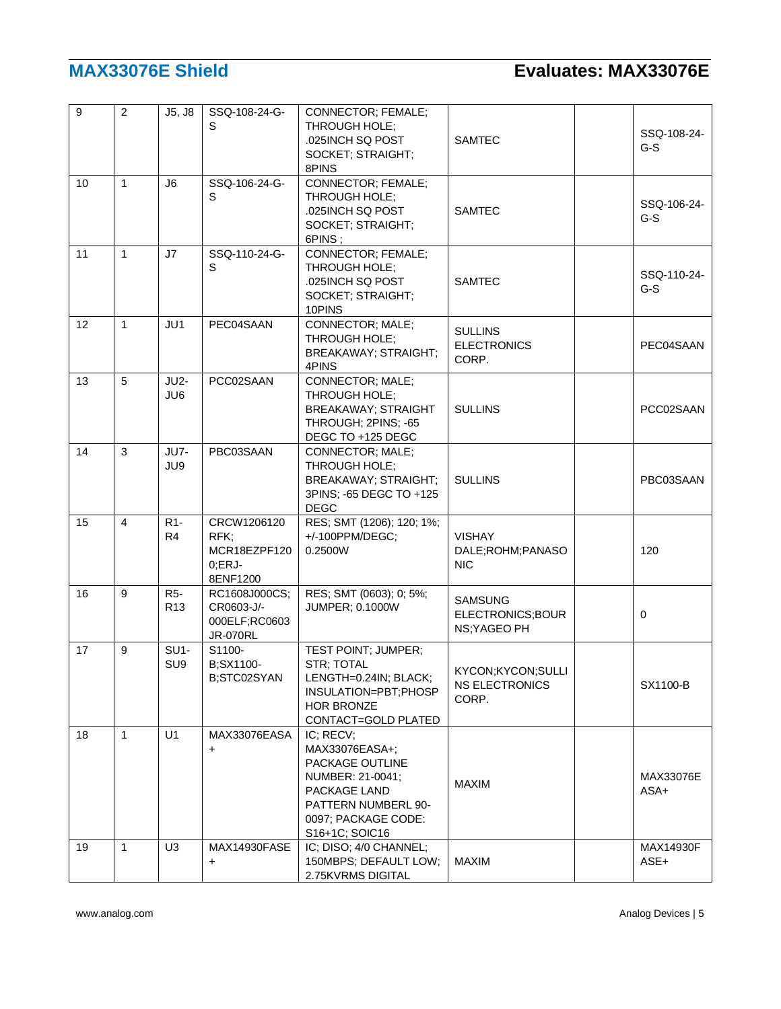| 9  | $\overline{2}$ | J5, J8                             | SSQ-108-24-G-<br>S                                              | CONNECTOR; FEMALE;<br>THROUGH HOLE;<br>.025INCH SQ POST<br>SOCKET; STRAIGHT;<br>8PINS                                                              | <b>SAMTEC</b>                                       | SSQ-108-24-<br>$G-S$ |
|----|----------------|------------------------------------|-----------------------------------------------------------------|----------------------------------------------------------------------------------------------------------------------------------------------------|-----------------------------------------------------|----------------------|
| 10 | $\mathbf{1}$   | J6                                 | SSQ-106-24-G-<br>S                                              | CONNECTOR; FEMALE;<br>THROUGH HOLE:<br>.025INCH SQ POST<br>SOCKET; STRAIGHT;<br>6PINS;                                                             | <b>SAMTEC</b>                                       | SSQ-106-24-<br>$G-S$ |
| 11 | $\mathbf{1}$   | J7                                 | SSQ-110-24-G-<br>S                                              | CONNECTOR; FEMALE;<br>THROUGH HOLE;<br>.025INCH SQ POST<br>SOCKET; STRAIGHT;<br>10PINS                                                             | <b>SAMTEC</b>                                       | SSQ-110-24-<br>$G-S$ |
| 12 | $\mathbf{1}$   | JU1                                | PEC04SAAN                                                       | CONNECTOR; MALE;<br>THROUGH HOLE;<br>BREAKAWAY; STRAIGHT;<br>4PINS                                                                                 | <b>SULLINS</b><br><b>ELECTRONICS</b><br>CORP.       | PEC04SAAN            |
| 13 | 5              | <b>JU2-</b><br>JU6                 | PCC02SAAN                                                       | CONNECTOR; MALE;<br>THROUGH HOLE:<br><b>BREAKAWAY; STRAIGHT</b><br>THROUGH; 2PINS; -65<br>DEGC TO +125 DEGC                                        | <b>SULLINS</b>                                      | PCC02SAAN            |
| 14 | 3              | JU7-<br>JU9                        | PBC03SAAN                                                       | CONNECTOR; MALE;<br>THROUGH HOLE;<br>BREAKAWAY; STRAIGHT;<br>3PINS; -65 DEGC TO +125<br><b>DEGC</b>                                                | <b>SULLINS</b>                                      | PBC03SAAN            |
| 15 | 4              | R <sub>1</sub> -<br>R <sub>4</sub> | CRCW1206120<br>RFK<br>MCR18EZPF120<br>$0;ERJ-$<br>8ENF1200      | RES; SMT (1206); 120; 1%;<br>+/-100PPM/DEGC;<br>0.2500W                                                                                            | <b>VISHAY</b><br>DALE;ROHM;PANASO<br><b>NIC</b>     | 120                  |
| 16 | 9              | <b>R5-</b><br>R <sub>13</sub>      | RC1608J000CS;<br>CR0603-J/-<br>000ELF;RC0603<br><b>JR-070RL</b> | RES; SMT (0603); 0; 5%;<br><b>JUMPER; 0.1000W</b>                                                                                                  | <b>SAMSUNG</b><br>ELECTRONICS;BOUR<br>NS; YAGEO PH  | 0                    |
| 17 | 9              | $SU1-$<br>SU <sub>9</sub>          | S1100-<br>B;SX1100-<br>B;STC02SYAN                              | TEST POINT; JUMPER;<br>STR; TOTAL<br>LENGTH=0.24IN; BLACK;<br>INSULATION=PBT;PHOSP<br><b>HOR BRONZE</b><br>CONTACT=GOLD PLATED                     | KYCON;KYCON;SULLI<br><b>NS ELECTRONICS</b><br>CORP. | SX1100-B             |
| 18 | $\mathbf{1}$   | U1                                 | MAX33076EASA<br>$\ddot{}$                                       | IC; RECV;<br>MAX33076EASA+;<br>PACKAGE OUTLINE<br>NUMBER: 21-0041:<br>PACKAGE LAND<br>PATTERN NUMBERL 90-<br>0097; PACKAGE CODE:<br>S16+1C; SOIC16 | <b>MAXIM</b>                                        | MAX33076E<br>$ASA+$  |
| 19 | $\mathbf{1}$   | U <sub>3</sub>                     | MAX14930FASE<br>$\ddot{}$                                       | IC; DISO; 4/0 CHANNEL;<br>150MBPS; DEFAULT LOW;<br>2.75KVRMS DIGITAL                                                                               | <b>MAXIM</b>                                        | MAX14930F<br>ASE+    |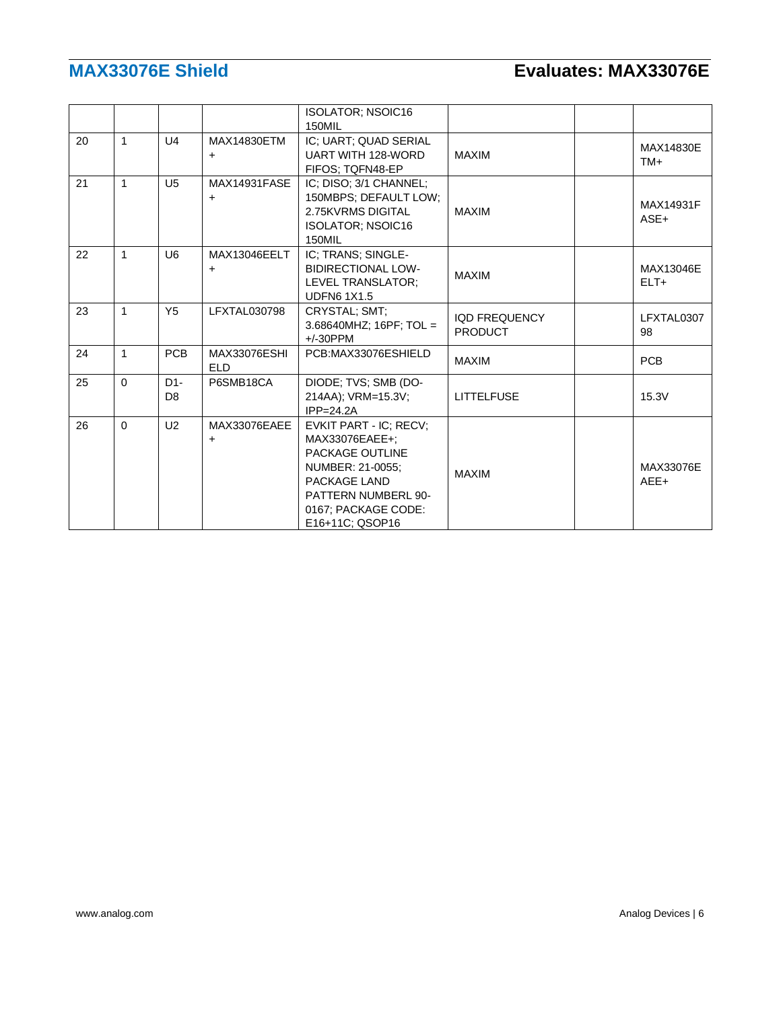|    |              |                                    |                                   | <b>ISOLATOR: NSOIC16</b><br>150MIL                                                                                                                               |                                        |                     |
|----|--------------|------------------------------------|-----------------------------------|------------------------------------------------------------------------------------------------------------------------------------------------------------------|----------------------------------------|---------------------|
| 20 | 1            | U4                                 | MAX14830ETM<br>+                  | IC; UART; QUAD SERIAL<br><b>UART WITH 128-WORD</b><br>FIFOS: TQFN48-EP                                                                                           | <b>MAXIM</b>                           | MAX14830E<br>$TM+$  |
| 21 | $\mathbf{1}$ | U <sub>5</sub>                     | MAX14931FASE<br>$\ddot{}$         | IC: DISO: 3/1 CHANNEL:<br>150MBPS; DEFAULT LOW;<br>2.75KVRMS DIGITAL<br><b>ISOLATOR: NSOIC16</b><br>150MIL                                                       | <b>MAXIM</b>                           | MAX14931F<br>ASE+   |
| 22 | 1            | U <sub>6</sub>                     | MAX13046EELT<br>+                 | IC: TRANS: SINGLE-<br><b>BIDIRECTIONAL LOW-</b><br>LEVEL TRANSLATOR:<br><b>UDFN6 1X1.5</b>                                                                       | <b>MAXIM</b>                           | MAX13046E<br>$ELT+$ |
| 23 | 1            | Y <sub>5</sub>                     | LFXTAL030798                      | CRYSTAL; SMT;<br>3.68640MHZ; $16PF$ ; TOL =<br>$+/-30$ PPM                                                                                                       | <b>IQD FREQUENCY</b><br><b>PRODUCT</b> | LFXTAL0307<br>98    |
| 24 | $\mathbf{1}$ | <b>PCB</b>                         | <b>MAX33076ESHI</b><br><b>ELD</b> | PCB:MAX33076ESHIELD                                                                                                                                              | <b>MAXIM</b>                           | <b>PCB</b>          |
| 25 | $\Omega$     | D <sub>1</sub> -<br>D <sub>8</sub> | P6SMB18CA                         | DIODE; TVS; SMB (DO-<br>214AA); VRM=15.3V;<br>$IPP=24.2A$                                                                                                        | <b>LITTELFUSE</b>                      | 15.3V               |
| 26 | $\Omega$     | U <sub>2</sub>                     | MAX33076EAEE<br>$\ddot{}$         | EVKIT PART - IC; RECV;<br>MAX33076EAEE+:<br>PACKAGE OUTLINE<br>NUMBER: 21-0055;<br>PACKAGE LAND<br>PATTERN NUMBERL 90-<br>0167; PACKAGE CODE:<br>E16+11C; QSOP16 | <b>MAXIM</b>                           | MAX33076E<br>AEE+   |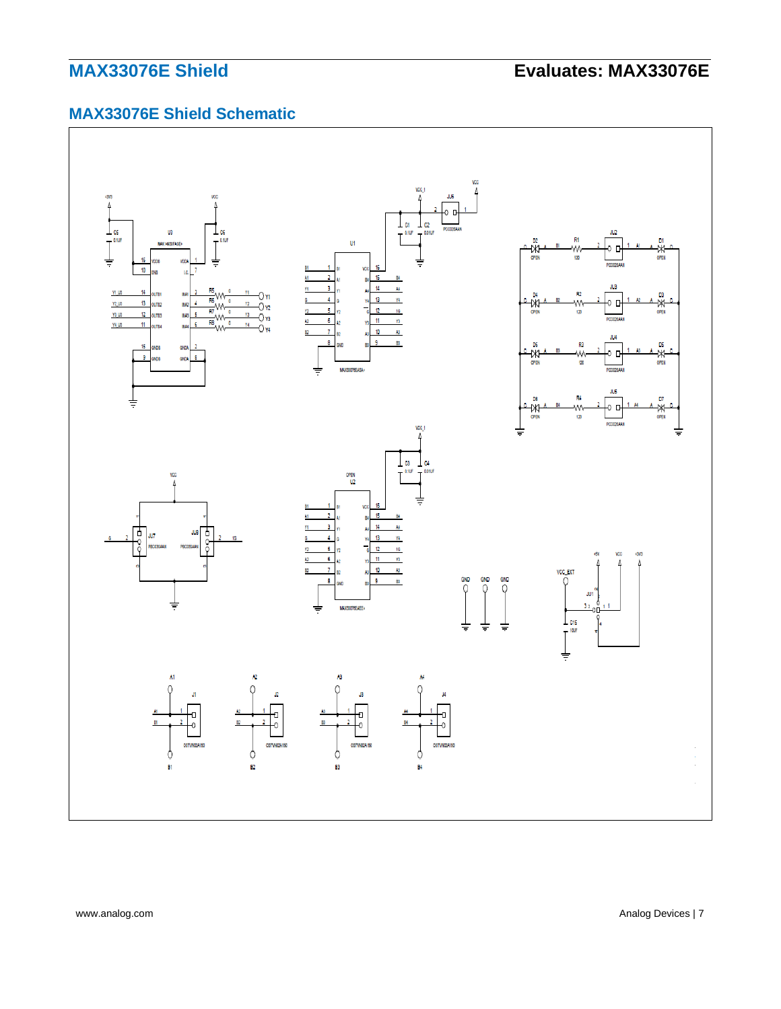# **MAX33076E Shield Schematic**



www.analog.com **Analog Devices | 7** Analog Devices | 7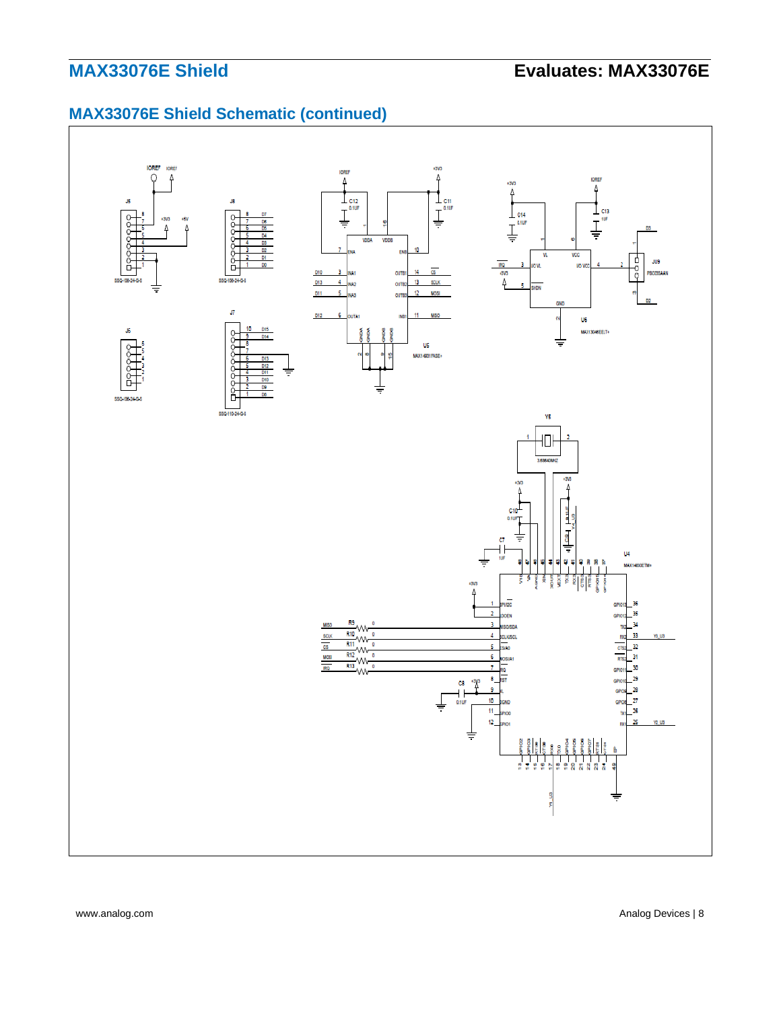# **MAX33076E Shield Schematic (continued)**



www.analog.com **Analog Devices | 8**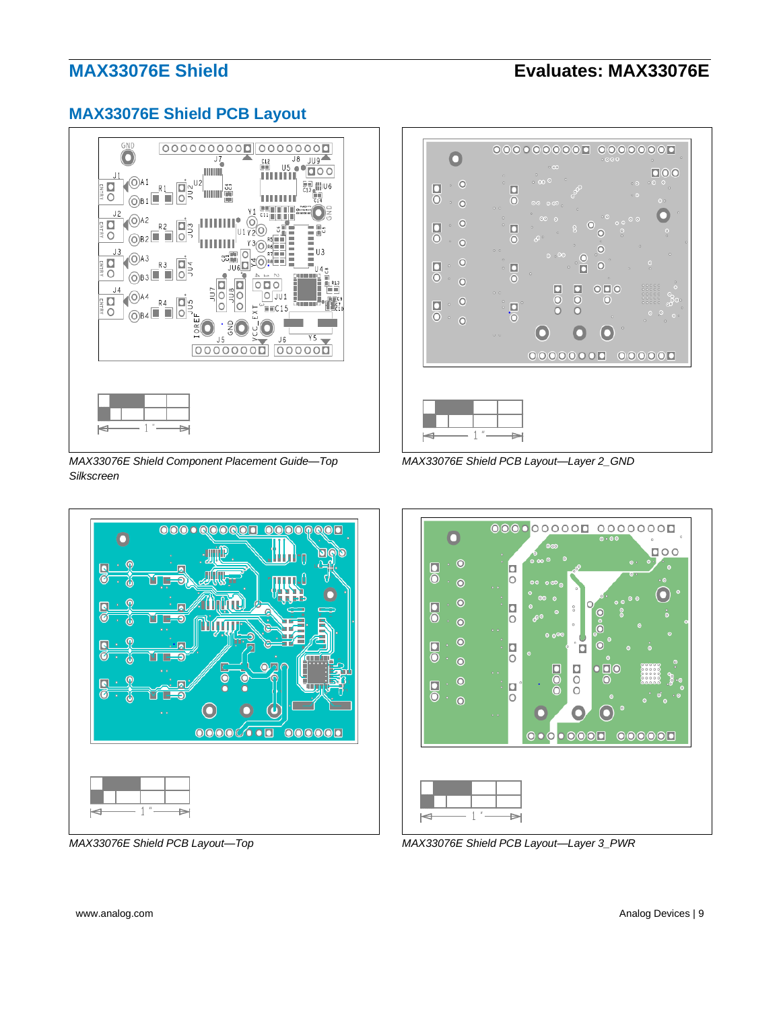## **MAX33076E Shield PCB Layout**



*MAX33076E Shield Component Placement Guide—Top Silkscreen*





*MAX33076E Shield PCB Layout—Layer 2\_GND*



*MAX33076E Shield PCB Layout—Top MAX33076E Shield PCB Layout—Layer 3\_PWR*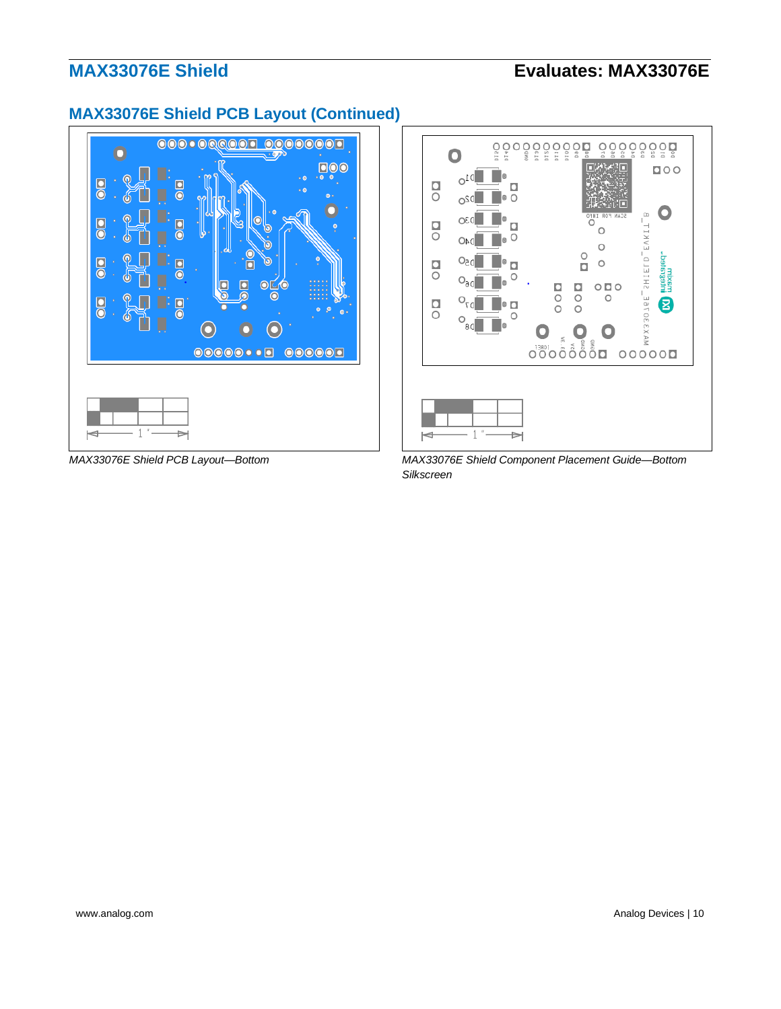# **MAX33076E Shield PCB Layout (Continued)**





*MAX33076E Shield PCB Layout—Bottom MAX33076E Shield Component Placement Guide—Bottom Silkscreen*